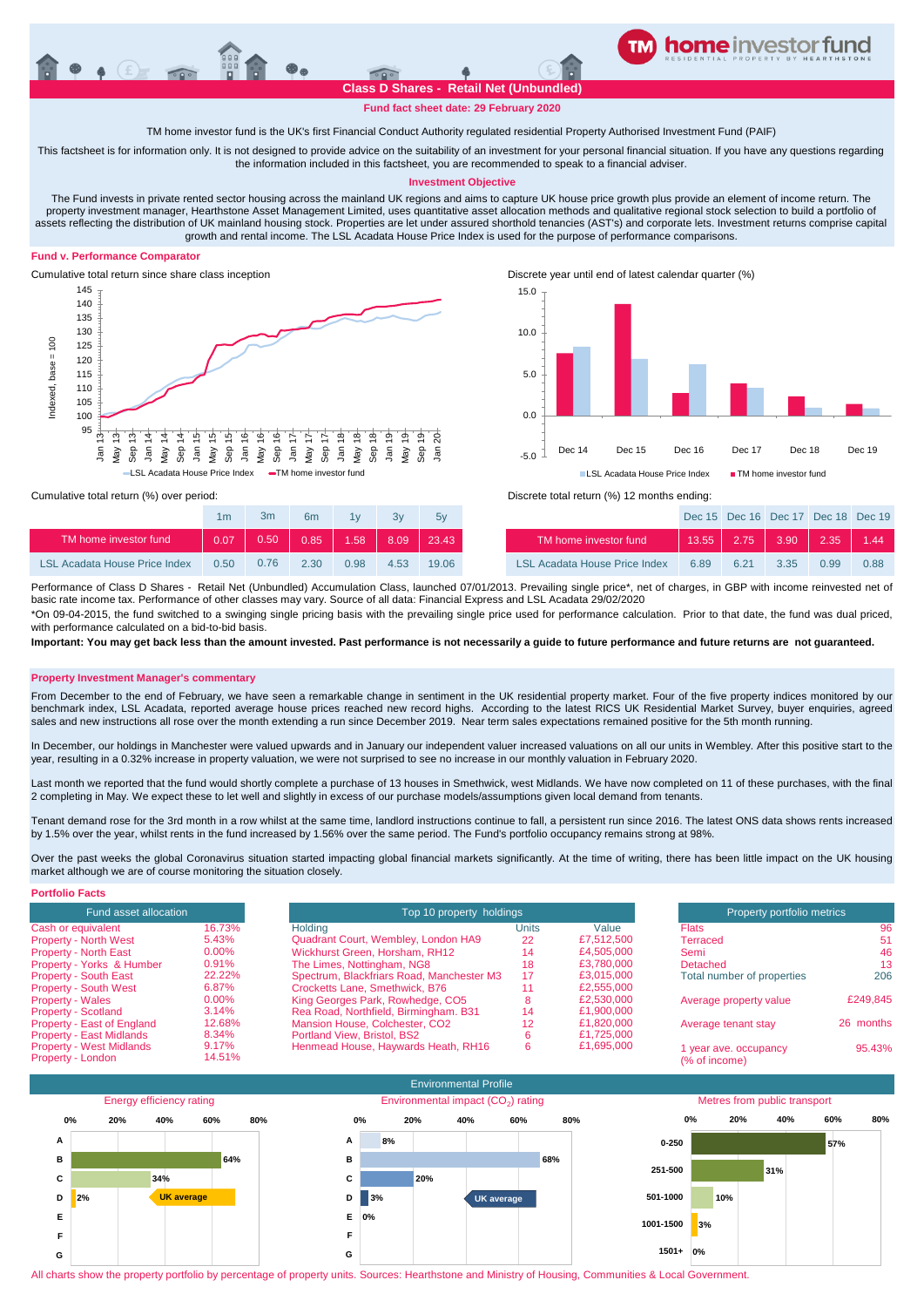

**Fund fact sheet date: 29 February 2020**

TM home investor fund is the UK's first Financial Conduct Authority regulated residential Property Authorised Investment Fund (PAIF)

This factsheet is for information only. It is not designed to provide advice on the suitability of an investment for your personal financial situation. If you have any questions regarding the information included in this factsheet, you are recommended to speak to a financial adviser.

# **Investment Objective**

The Fund invests in private rented sector housing across the mainland UK regions and aims to capture UK house price growth plus provide an element of income return. The property investment manager, Hearthstone Asset Management Limited, uses quantitative asset allocation methods and qualitative regional stock selection to build a portfolio of assets reflecting the distribution of UK mainland housing stock. Properties are let under assured shorthold tenancies (AST's) and corporate lets. Investment returns comprise capital growth and rental income. The LSL Acadata House Price Index is used for the purpose of performance comparisons.

# **Fund v. Performance Comparator**





Dec 15 Dec 16 Dec 17 Dec 18 Dec 19

Cumulative total return (%) over period: Discrete total return (%) 12 months ending:

|                                      | 1m   | 3m   | 6m   | 1 <sub>1</sub> | 3v   | 5v    |                               |      | Dec 15 Dec 16 Dec 17 Dec 18 Dec 1 |      |               |         |
|--------------------------------------|------|------|------|----------------|------|-------|-------------------------------|------|-----------------------------------|------|---------------|---------|
| TM home investor fund                | 0.07 | 0.50 | 0.85 | 1.58           | 8.09 | 23.43 | TM home investor fund         |      | $13.55$ 2.75                      | 3.90 | $\sqrt{2.35}$ | $-1.44$ |
| <b>LSL Acadata House Price Index</b> | 0.50 | 0.76 | 2.30 | 0.98           | 4.53 | 19.06 | LSL Acadata House Price Index | 6.89 | 6.21                              | 3.35 | 0.99          | 0.88    |

Performance of Class D Shares - Retail Net (Unbundled) Accumulation Class, launched 07/01/2013. Prevailing single price\*, net of charges, in GBP with income reinvested net of basic rate income tax. Performance of other classes may vary. Source of all data: Financial Express and LSL Acadata 29/02/2020

\*On 09-04-2015, the fund switched to a swinging single pricing basis with the prevailing single price used for performance calculation. Prior to that date, the fund was dual priced, with performance calculated on a bid-to-bid basis

**Important: You may get back less than the amount invested. Past performance is not necessarily a guide to future performance and future returns are not guaranteed.** 

### **Property Investment Manager's commentary**

From December to the end of February, we have seen a remarkable change in sentiment in the UK residential property market. Four of the five property indices monitored by our benchmark index, LSL Acadata, reported average house prices reached new record highs. According to the latest RICS UK Residential Market Survey, buyer enquiries, agreed sales and new instructions all rose over the month extending a run since December 2019. Near term sales expectations remained positive for the 5th month running.

In December, our holdings in Manchester were valued upwards and in January our independent valuer increased valuations on all our units in Wembley. After this positive start to the year, resulting in a 0.32% increase in property valuation, we were not surprised to see no increase in our monthly valuation in February 2020.

Last month we reported that the fund would shortly complete a purchase of 13 houses in Smethwick, west Midlands. We have now completed on 11 of these purchases, with the final 2 completing in May. We expect these to let well and slightly in excess of our purchase models/assumptions given local demand from tenants.

Tenant demand rose for the 3rd month in a row whilst at the same time, landlord instructions continue to fall, a persistent run since 2016. The latest ONS data shows rents increased by 1.5% over the year, whilst rents in the fund increased by 1.56% over the same period. The Fund's portfolio occupancy remains strong at 98%.

Over the past weeks the global Coronavirus situation started impacting global financial markets significantly. At the time of writing, there has been little impact on the UK housing market although we are of course monitoring the situation closely.

| <b>Portfolio Facts</b>          |          |                                           |                            |            |                            |           |
|---------------------------------|----------|-------------------------------------------|----------------------------|------------|----------------------------|-----------|
| Fund asset allocation           |          | Top 10 property holdings                  | Property portfolio metrics |            |                            |           |
| Cash or equivalent              | 16.73%   | Holdina                                   | Units                      | Value      | <b>Flats</b>               | 96        |
| <b>Property - North West</b>    | 5.43%    | Quadrant Court, Wembley, London HA9       | 22                         | £7,512,500 | Terraced                   | 51        |
| <b>Property - North East</b>    | $0.00\%$ | Wickhurst Green, Horsham, RH12            | 14                         | £4.505.000 | Semi                       | 46        |
| Property - Yorks & Humber       | 0.91%    | The Limes, Nottingham, NG8                | 18                         | £3.780.000 | Detached                   | 13        |
| Property - South East           | 22.22%   | Spectrum, Blackfriars Road, Manchester M3 | 17                         | £3.015.000 | Total number of properties | 206       |
| <b>Property - South West</b>    | 6.87%    | Crocketts Lane, Smethwick, B76            |                            | £2,555,000 |                            |           |
| <b>Property - Wales</b>         | $0.00\%$ | King Georges Park, Rowhedge, CO5          |                            | £2.530.000 | Average property value     | £249.845  |
| <b>Property - Scotland</b>      | 3.14%    | Rea Road, Northfield, Birmingham, B31     | 14                         | £1,900,000 |                            |           |
| Property - East of England      | 12.68%   | Mansion House, Colchester, CO2            | 12                         | £1.820.000 | Average tenant stay        | 26 months |
| <b>Property - East Midlands</b> | 8.34%    | Portland View, Bristol, BS2               |                            | £1.725.000 |                            |           |
| <b>Property - West Midlands</b> | 9.17%    | Henmead House, Haywards Heath, RH16       | 6                          | £1,695,000 | 1 year ave. occupancy      | 95.43%    |
| Property - London               | 14.51%   |                                           |                            |            | (% of income)              |           |



All charts show the property portfolio by percentage of property units. Sources: Hearthstone and Ministry of Housing, Communities & Local Government.